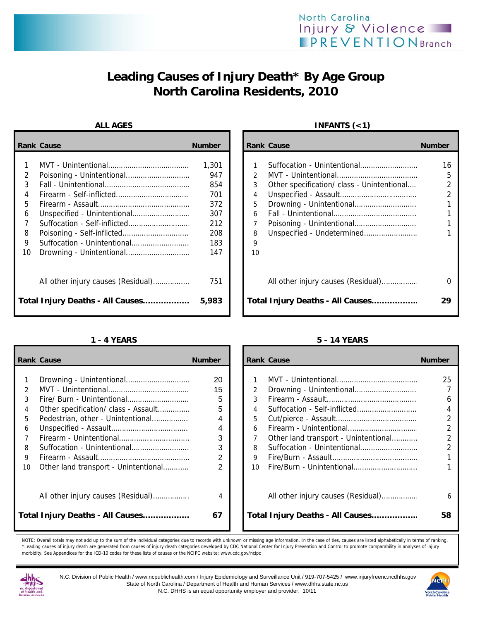# **Leading Causes of Injury Death\* By Age Group North Carolina Residents, 2010**

|                                 | <b>Rank Cause</b>                                                      | <b>Number</b>                                                 |                            | <b>Rank Cause</b>                                                                                       | <b>Number</b>                               |
|---------------------------------|------------------------------------------------------------------------|---------------------------------------------------------------|----------------------------|---------------------------------------------------------------------------------------------------------|---------------------------------------------|
| 2<br>3<br>4<br>5<br>6<br>8<br>9 | Suffocation - Unintentional                                            | 1,301<br>947<br>854<br>701<br>372<br>307<br>212<br>208<br>183 | 3<br>4<br>5<br>6<br>8<br>9 | Suffocation - Unintentional<br>Other specification/ class - Unintentional<br>Unspecified - Undetermined | 16<br>5<br>$\overline{2}$<br>$\mathfrak{p}$ |
| 10                              |                                                                        | 147                                                           | 10                         |                                                                                                         |                                             |
|                                 | All other injury causes (Residual)<br>Total Injury Deaths - All Causes | 751<br>5,983                                                  |                            | All other injury causes (Residual)<br>Total Injury Deaths - All Causes                                  | 0<br>29                                     |

|               | <b>Rank Cause</b>                    | <b>Number</b>  |                | <b>Rank Cause</b>                    | <b>Number</b>  |
|---------------|--------------------------------------|----------------|----------------|--------------------------------------|----------------|
|               |                                      |                |                |                                      |                |
|               |                                      | 20             |                |                                      | 25             |
| $\mathcal{P}$ |                                      | 15             | $\overline{2}$ |                                      |                |
| 3             |                                      | 5              | 3              |                                      | 6              |
| 4             | Other specification/ class - Assault | 5              | 4              |                                      | 4              |
| 5             | Pedestrian, other - Unintentional    | 4              | 5              |                                      | $\overline{a}$ |
| 6             |                                      | 4              | 6              |                                      | $\overline{2}$ |
|               |                                      | 3              |                | Other land transport - Unintentional | $\overline{2}$ |
| 8             | Suffocation - Unintentional          | 3              | 8              |                                      |                |
| 9             |                                      | $\overline{2}$ | 9              |                                      |                |
| 10            | Other land transport - Unintentional | 2              | 10             |                                      |                |
|               |                                      | 4              |                | All other injury causes (Residual)   | 6              |
|               | Total Injury Deaths - All Causes     | 67             |                | Total Injury Deaths - All Causes     | 58             |

## ALL AGES **INFANTS** (<1)

| Cause                                                            | <b>Number</b>                                   |                                        | <b>Rank Cause</b>                                                         | <b>Number</b> |
|------------------------------------------------------------------|-------------------------------------------------|----------------------------------------|---------------------------------------------------------------------------|---------------|
| Poisoning - Unintentional<br>Suffocation - Self-inflicted        | 1,301<br>947<br>854<br>701<br>372<br>307<br>212 | $\mathcal{P}$<br>3<br>4<br>5<br>6<br>7 | Suffocation - Unintentional<br>Other specification/ class - Unintentional | 16<br>5       |
| Poisoning - Self-inflicted<br>Suffocation - Unintentional        | 208<br>183<br>147                               | 8<br>9<br>10                           | Unspecified - Undetermined                                                |               |
| All other injury causes (Residual)<br>Injury Deaths - All Causes | 751<br>5,983                                    |                                        | All other injury causes (Residual)<br>Total Injury Deaths - All Causes    | 29            |

### **1 - 4 YEARS 5 - 14 YEARS**

|                                                                         | ank Cause                                                                                                         | <b>Number</b>                                    |                                                                 | <b>Rank Cause</b>                                                      | <b>Number</b>               |
|-------------------------------------------------------------------------|-------------------------------------------------------------------------------------------------------------------|--------------------------------------------------|-----------------------------------------------------------------|------------------------------------------------------------------------|-----------------------------|
| $\mathbf{1}$<br>2<br>3<br>4<br>5<br>6<br>$\overline{7}$<br>8<br>9<br>10 | Other specification/ class - Assault<br>Pedestrian, other - Unintentional<br>Other land transport - Unintentional | 20<br>15<br>5<br>5<br>4<br>4<br>3<br>3<br>2<br>2 | $\overline{2}$<br>3<br>4<br>5<br>6<br>8<br>9<br>10 <sup>1</sup> | Other land transport - Unintentional                                   | 25<br>6<br>4<br>2<br>2<br>2 |
|                                                                         | All other injury causes (Residual)<br>otal Injury Deaths - All Causes                                             | 4<br>67                                          |                                                                 | All other injury causes (Residual)<br>Total Injury Deaths - All Causes | 6<br>58                     |

NOTE: Overall totals may not add up to the sum of the individual categories due to records with unknown or missing age information. In the case of ties, causes are listed alphabetically in terms of ranking. \*Leading causes of injury death are generated from causes of injury death categories developed by CDC National Center for Injury Prevention and Control to promote comparability in analyses of injury morbidity. See Appendices for the ICD-10 codes for these lists of causes or the NCIPC website: www.cdc.gov/ncipc



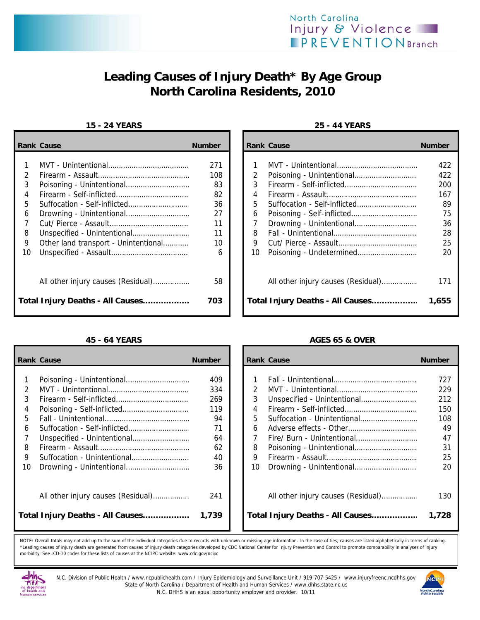

# **Leading Causes of Injury Death\* By Age Group North Carolina Residents, 2010**

### **15 - 24 YEARS 25 - 44 YEARS**

|               | <b>Rank Cause</b>                    | <b>Number</b> |               | <b>Rank Cause</b>                  | <b>Number</b> |
|---------------|--------------------------------------|---------------|---------------|------------------------------------|---------------|
|               |                                      | 271           |               |                                    | 422           |
| $\mathcal{L}$ |                                      | 108           | $\mathcal{P}$ |                                    | 422           |
| 3             |                                      | 83            | 3             |                                    | 200           |
| 4             |                                      | 82            | 4             |                                    | 167           |
| 5             |                                      | 36            | 5             |                                    | 89            |
| 6             |                                      | 27            | 6             |                                    | 75            |
|               |                                      | 11            |               |                                    | 36            |
| 8             |                                      | 11            | 8             |                                    | 28            |
| 9             | Other land transport - Unintentional | 10            | 9             |                                    | 25            |
| 10            |                                      | 6             | 10            |                                    | 20            |
|               |                                      | 58            |               | All other injury causes (Residual) | 171           |
|               | Total Injury Deaths - All Causes     | 703           |               | Total Injury Deaths - All Causes   | 1,655         |

|    | <b>Rank Cause</b>                  | <b>Number</b> |    | <b>Rank Cause</b>                  | <b>Number</b> |
|----|------------------------------------|---------------|----|------------------------------------|---------------|
|    |                                    | 409           |    |                                    | 727           |
|    |                                    | 334           | 2  |                                    | 229           |
|    |                                    | 269           | 3  |                                    | 212           |
| 4  |                                    | 119           | 4  |                                    | 150           |
| 5. |                                    | 94            | 5  | Suffocation - Unintentional        | 108           |
| 6  | Suffocation - Self-inflicted       | 71            | 6  |                                    | 49            |
|    |                                    | 64            |    |                                    | 47            |
| 8  |                                    | 62            | 8  |                                    | 31            |
| 9  |                                    | 40            | 9  |                                    | 25            |
| 10 |                                    | 36            | 10 |                                    | 20            |
|    | All other injury causes (Residual) | 241           |    | All other injury causes (Residual) | 130           |
|    | Total Injury Deaths - All Causes   | 1,739         |    | Total Injury Deaths - All Causes   | 1,728         |

| Cause                                | <b>Number</b> |               | <b>Rank Cause</b>                  | <b>Number</b> |
|--------------------------------------|---------------|---------------|------------------------------------|---------------|
|                                      |               |               |                                    |               |
|                                      | 271           |               |                                    | 422           |
|                                      | 108           | $\mathcal{P}$ |                                    | 422           |
| Poisoning - Unintentional            | 83            | 3             |                                    | 200           |
| Firearm - Self-inflicted             | 82            | 4             |                                    | 167           |
| Suffocation - Self-inflicted         | 36            | 5             |                                    | 89            |
|                                      | 27            | 6             |                                    | 75            |
|                                      | 11            |               |                                    | 36            |
|                                      | 11            | 8             |                                    | 28            |
| Other land transport - Unintentional | 10            | 9             |                                    | 25            |
|                                      | 6             | 10            |                                    | 20            |
|                                      |               |               |                                    |               |
| All other injury causes (Residual)   | 58            |               | All other injury causes (Residual) | 171           |
| Injury Deaths - All Causes           | 703           |               | Total Injury Deaths - All Causes   | 1,655         |

## **45 - 64 YEARS AGES 65 & OVER**

| Cause                              | <b>Number</b> |               | <b>Rank Cause</b>                  | <b>Number</b> |
|------------------------------------|---------------|---------------|------------------------------------|---------------|
|                                    | 409           |               |                                    | 727           |
|                                    | 334           | $\mathcal{P}$ |                                    | 229           |
|                                    | 269           | 3             |                                    | 212           |
| Poisoning - Self-inflicted         | 119           | 4             |                                    | 150           |
|                                    | 94            | 5             |                                    | 108           |
| Suffocation - Self-inflicted       | 71            | 6             |                                    | 49            |
| Unspecified - Unintentional        | 64            | 7             |                                    | 47            |
|                                    | 62            | 8             |                                    | 31            |
| Suffocation - Unintentional        | 40            | 9             |                                    | 25            |
|                                    | 36            | 10            |                                    | 20            |
| All other injury causes (Residual) | 241           |               | All other injury causes (Residual) | 130           |
| Injury Deaths - All Causes         | 1,739         |               | Total Injury Deaths - All Causes   | 1,728         |

NOTE: Overall totals may not add up to the sum of the individual categories due to records with unknown or missing age information. In the case of ties, causes are listed alphabetically in terms of ranking. \*Leading causes of injury death are generated from causes of injury death categories developed by CDC National Center for Injury Prevention and Control to promote comparability in analyses of injury morbidity. See ICD-10 codes for these lists of causes at the NCIPC website: www.cdc.gov/ncipc



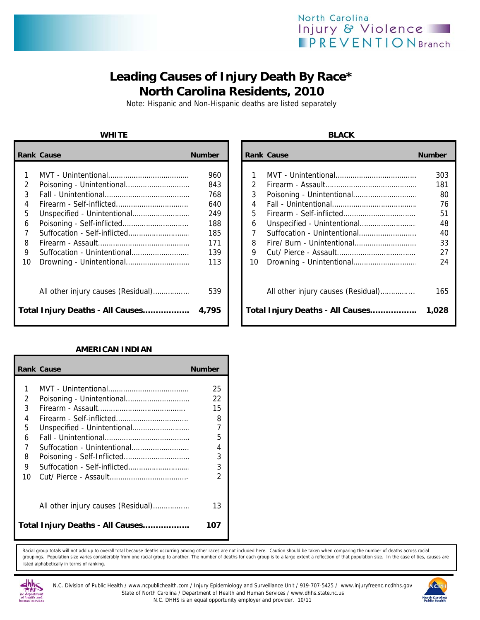## North Carolina Injury & Violence **PREVENTIONBranch**

## **Leading Causes of Injury Death By Race\* North Carolina Residents, 2010**

Note: Hispanic and Non-Hispanic deaths are listed separately

|    | <b>Rank Cause</b>                  | <b>Number</b> |    | <b>Rank Cause</b>                  | <b>Number</b> |
|----|------------------------------------|---------------|----|------------------------------------|---------------|
|    |                                    | 960           |    |                                    | 303           |
| 2  |                                    | 843           | 2  |                                    | 181           |
| 3  |                                    | 768           | 3  |                                    | 80            |
| 4  |                                    | 640           | 4  |                                    | 76            |
| 5  |                                    | 249           | 5. |                                    | 51            |
| 6  |                                    | 188           | 6  |                                    | 48            |
|    |                                    | 185           |    |                                    | 40            |
| 8  |                                    | 171           | 8  |                                    | 33            |
| 9  | Suffocation - Unintentional        | 139           | 9  |                                    | 27            |
| 10 |                                    | 113           | 10 |                                    | 24            |
|    | All other injury causes (Residual) | 539           |    | All other injury causes (Residual) | 165           |
|    | Total Injury Deaths - All Causes   | 4,795         |    | Total Injury Deaths - All Causes   | 1,028         |

### **AMERICAN INDIAN**

|                                           | <b>Rank Cause</b>                                           | <b>Number</b>                                |
|-------------------------------------------|-------------------------------------------------------------|----------------------------------------------|
| 1<br>2<br>3<br>4<br>5<br>6<br>7<br>8<br>9 | Suffocation - Unintentional<br>Suffocation - Self-inflicted | 25<br>22<br>15<br>8<br>7<br>5<br>4<br>3<br>3 |
| 10                                        | All other injury causes (Residual)                          | 2<br>13                                      |
|                                           | Total Injury Deaths - All Causes                            | 107                                          |

Racial group totals will not add up to overall total because deaths occurring among other races are not included here. Caution should be taken when comparing the number of deaths across racial groupings. Population size varies considerably from one racial group to another. The number of deaths for each group is to a large extent a reflection of that population size. In the case of ties, causes are listed alphabetically in terms of ranking.



N.C. Division of Public Health / www.ncpublichealth.com / Injury Epidemiology and Surveillance Unit / 919-707-5425 / www.injuryfreenc.ncdhhs.gov State of North Carolina / Department of Health and Human Services / www.dhhs.state.nc.us N.C. DHHS is an equal opportunity employer and provider. 10/11



### **WHITE BLACK**